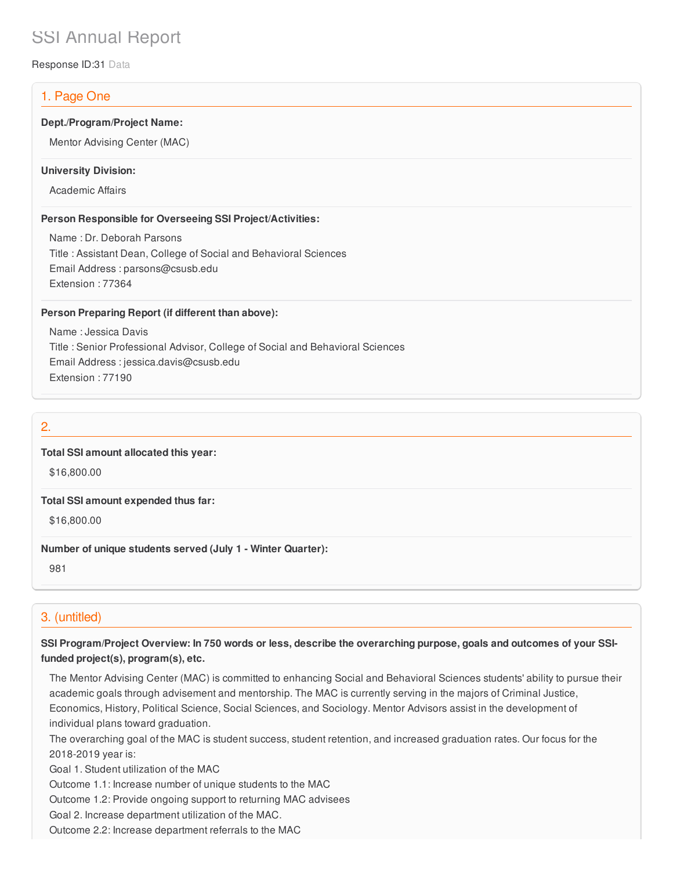# SSI Annual Report

Response ID:31 Data

# 1. Page One

## **Dept./Program/Project Name:**

Mentor Advising Center (MAC)

#### **University Division:**

Academic Affairs

#### **Person Responsible for Overseeing SSI Project/Activities:**

Name : Dr. Deborah Parsons Title : Assistant Dean, College of Social and Behavioral Sciences Email Address : parsons@csusb.edu Extension : 77364

#### **Person Preparing Report (if different than above):**

Name : Jessica Davis Title : Senior Professional Advisor, College of Social and Behavioral Sciences Email Address : jessica.davis@csusb.edu Extension : 77190

## 2.

### **Total SSI amount allocated this year:**

\$16,800.00

#### **Total SSI amount expended thus far:**

\$16,800.00

#### **Number of unique students served (July 1 - Winter Quarter):**

981

# 3. (untitled)

SSI Program/Project Overview: In 750 words or less, describe the overarching purpose, goals and outcomes of your SSI**funded project(s), program(s), etc.**

The Mentor Advising Center (MAC) is committed to enhancing Social and Behavioral Sciences students' ability to pursue their academic goals through advisement and mentorship. The MAC is currently serving in the majors of Criminal Justice, Economics, History, Political Science, Social Sciences, and Sociology. Mentor Advisors assist in the development of individual plans toward graduation.

The overarching goal of the MAC is student success, student retention, and increased graduation rates. Our focus for the 2018-2019 year is:

Goal 1. Student utilization of the MAC

Outcome 1.1: Increase number of unique students to the MAC

Outcome 1.2: Provide ongoing support to returning MAC advisees

Goal 2. Increase department utilization of the MAC.

Outcome 2.2: Increase department referrals to the MAC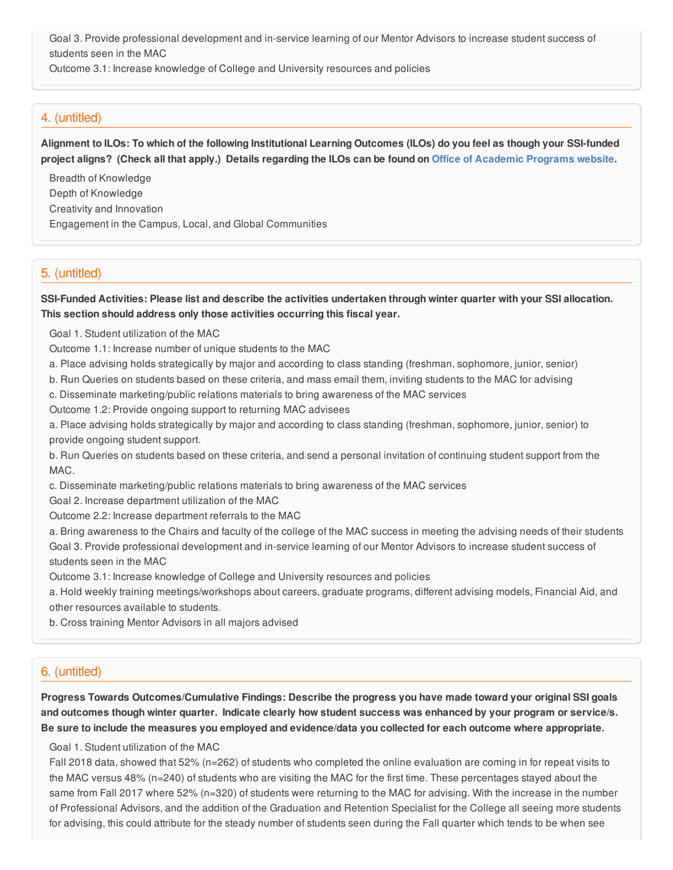Goal 3. Provide professional development and in-service learning of our Mentor Advisors to increase student success of students seen in the MAC

Outcome 3.1: Increase knowledge of College and University resources and policies

## 4. (untitled)

Alignment to ILOs: To which of the following Institutional Learning Outcomes (ILOs) do you feel as though your SSI-funded project aligns? (Check all that apply.) Details regarding the ILOs can be found on Office of [Academic](https://www.csusb.edu/sites/csusb/files/CSUSB_Institutional_Learning_Outcomes-Endorsed.pdf) Programs website.

Breadth of Knowledge Depth of Knowledge Creativity and Innovation Engagement in the Campus, Local, and Global Communities

## 5. (untitled)

SSI-Funded Activities: Please list and describe the activities undertaken through winter quarter with your SSI allocation. **This section should address only those activities occurring this fiscal year.**

Goal 1. Student utilization of the MAC

Outcome 1.1: Increase number of unique students to the MAC

a. Place advising holds strategically by major and according to class standing (freshman, sophomore, junior, senior)

b. Run Queries on students based on these criteria, and mass email them, inviting students to the MAC for advising

c. Disseminate marketing/public relations materials to bring awareness of the MAC services

Outcome 1.2: Provide ongoing support to returning MAC advisees

a. Place advising holds strategically by major and according to class standing (freshman, sophomore, junior, senior) to provide ongoing student support.

b. Run Queries on students based on these criteria, and send a personal invitation of continuing student support from the MAC.

c. Disseminate marketing/public relations materials to bring awareness of the MAC services

Goal 2. Increase department utilization of the MAC

Outcome 2.2: Increase department referrals to the MAC

a. Bring awareness to the Chairs and faculty of the college of the MAC success in meeting the advising needs of their students Goal 3. Provide professional development and in-service learning of our Mentor Advisors to increase student success of students seen in the MAC

Outcome 3.1: Increase knowledge of College and University resources and policies

a. Hold weekly training meetings/workshops about careers, graduate programs, different advising models, Financial Aid, and other resources available to students.

b. Cross training Mentor Advisors in all majors advised

## 6. (untitled)

**Progress Towards Outcomes/Cumulative Findings: Describe the progress you have made toward your original SSI goals** and outcomes though winter quarter. Indicate clearly how student success was enhanced by your program or service/s. Be sure to include the measures you employed and evidence/data you collected for each outcome where appropriate.

#### Goal 1. Student utilization of the MAC

Fall 2018 data, showed that 52% (n=262) of students who completed the online evaluation are coming in for repeat visits to the MAC versus 48% (n=240) of students who are visiting the MAC for the first time. These percentages stayed about the same from Fall 2017 where 52% (n=320) of students were returning to the MAC for advising. With the increase in the number of Professional Advisors, and the addition of the Graduation and Retention Specialist for the College all seeing more students for advising, this could attribute for the steady number of students seen during the Fall quarter which tends to be when see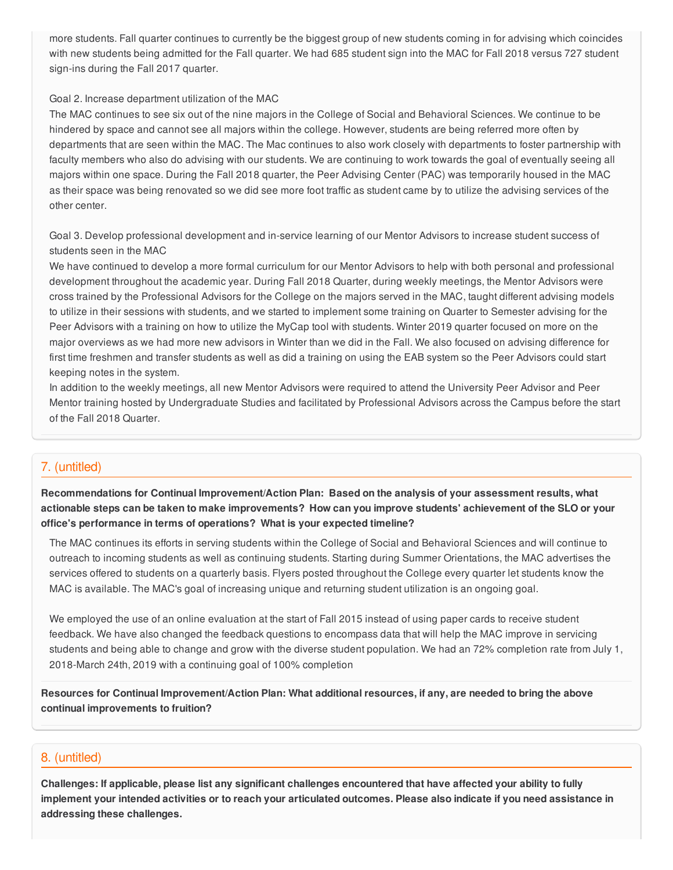more students. Fall quarter continues to currently be the biggest group of new students coming in for advising which coincides with new students being admitted for the Fall quarter. We had 685 student sign into the MAC for Fall 2018 versus 727 student sign-ins during the Fall 2017 quarter.

#### Goal 2. Increase department utilization of the MAC

The MAC continues to see six out of the nine majors in the College of Social and Behavioral Sciences. We continue to be hindered by space and cannot see all majors within the college. However, students are being referred more often by departments that are seen within the MAC. The Mac continues to also work closely with departments to foster partnership with faculty members who also do advising with our students. We are continuing to work towards the goal of eventually seeing all majors within one space. During the Fall 2018 quarter, the Peer Advising Center (PAC) was temporarily housed in the MAC as their space was being renovated so we did see more foot traffic as student came by to utilize the advising services of the other center.

Goal 3. Develop professional development and in-service learning of our Mentor Advisors to increase student success of students seen in the MAC

We have continued to develop a more formal curriculum for our Mentor Advisors to help with both personal and professional development throughout the academic year. During Fall 2018 Quarter, during weekly meetings, the Mentor Advisors were cross trained by the Professional Advisors for the College on the majors served in the MAC, taught different advising models to utilize in their sessions with students, and we started to implement some training on Quarter to Semester advising for the Peer Advisors with a training on how to utilize the MyCap tool with students. Winter 2019 quarter focused on more on the major overviews as we had more new advisors in Winter than we did in the Fall. We also focused on advising difference for first time freshmen and transfer students as well as did a training on using the EAB system so the Peer Advisors could start keeping notes in the system.

In addition to the weekly meetings, all new Mentor Advisors were required to attend the University Peer Advisor and Peer Mentor training hosted by Undergraduate Studies and facilitated by Professional Advisors across the Campus before the start of the Fall 2018 Quarter.

## 7. (untitled)

**Recommendations for Continual Improvement/Action Plan: Based on the analysis of your assessment results, what** actionable steps can be taken to make improvements? How can you improve students' achievement of the SLO or your **office's performance in terms of operations? What is your expected timeline?**

The MAC continues its efforts in serving students within the College of Social and Behavioral Sciences and will continue to outreach to incoming students as well as continuing students. Starting during Summer Orientations, the MAC advertises the services offered to students on a quarterly basis. Flyers posted throughout the College every quarter let students know the MAC is available. The MAC's goal of increasing unique and returning student utilization is an ongoing goal.

We employed the use of an online evaluation at the start of Fall 2015 instead of using paper cards to receive student feedback. We have also changed the feedback questions to encompass data that will help the MAC improve in servicing students and being able to change and grow with the diverse student population. We had an 72% completion rate from July 1, 2018-March 24th, 2019 with a continuing goal of 100% completion

Resources for Continual Improvement/Action Plan: What additional resources, if any, are needed to bring the above **continual improvements to fruition?**

### 8. (untitled)

Challenges: If applicable, please list any significant challenges encountered that have affected your ability to fully implement your intended activities or to reach your articulated outcomes. Please also indicate if you need assistance in **addressing these challenges.**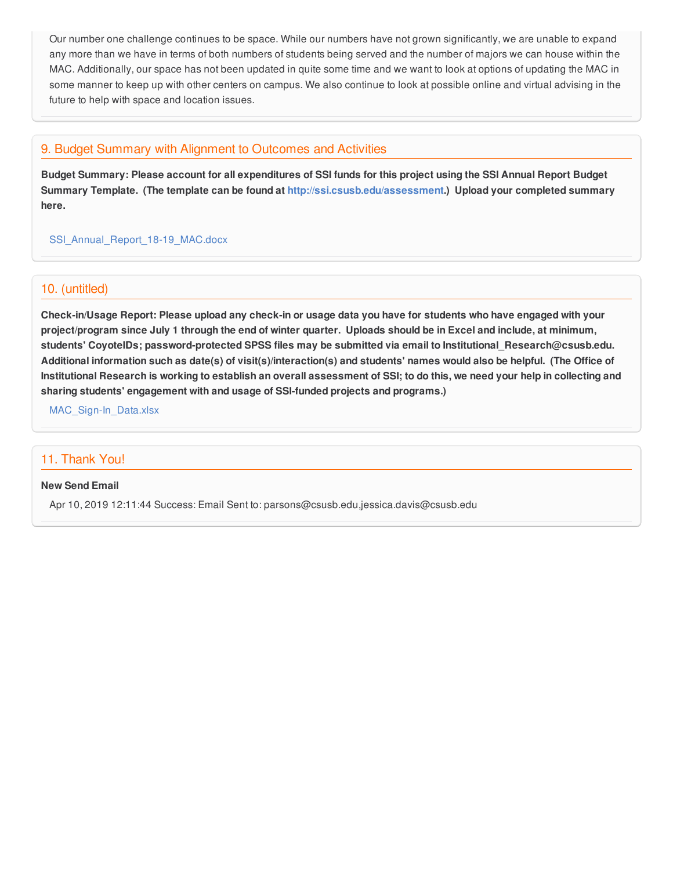Our number one challenge continues to be space. While our numbers have not grown significantly, we are unable to expand any more than we have in terms of both numbers of students being served and the number of majors we can house within the MAC. Additionally, our space has not been updated in quite some time and we want to look at options of updating the MAC in some manner to keep up with other centers on campus. We also continue to look at possible online and virtual advising in the future to help with space and location issues.

## 9. Budget Summary with Alignment to Outcomes and Activities

Budget Summary: Please account for all expenditures of SSI funds for this project using the SSI Annual Report Budget **Summary Template. (The template can be found at <http://ssi.csusb.edu/assessment>.) Upload your completed summary here.**

[SSI\\_Annual\\_Report\\_18-19\\_MAC.docx](https://surveygizmoresponseuploads.s3.amazonaws.com/fileuploads/98679/3939151/73-8cb1629bcc022e87ae77195dcbe71be8_SSI_Annual_Report_18-19_MAC.docx)

### 10. (untitled)

Check-in/Usage Report: Please upload any check-in or usage data you have for students who have engaged with your project/program since July 1 through the end of winter quarter. Uploads should be in Excel and include, at minimum, **students' CoyoteIDs; password-protected SPSS files may be submitted via email to Institutional\_Research@csusb.edu.** Additional information such as date(s) of visit(s)/interaction(s) and students' names would also be helpful. (The Office of Institutional Research is working to establish an overall assessment of SSI; to do this, we need your help in collecting and **sharing students' engagement with and usage of SSI-funded projects and programs.)**

[MAC\\_Sign-In\\_Data.xlsx](https://surveygizmoresponseuploads.s3.amazonaws.com/fileuploads/98679/3939151/92-b026646474266f7b05d5ba342d6b0818_MAC_Sign-In_Data.xlsx)

## 11. Thank You!

#### **New Send Email**

Apr 10, 2019 12:11:44 Success: Email Sent to: parsons@csusb.edu,jessica.davis@csusb.edu